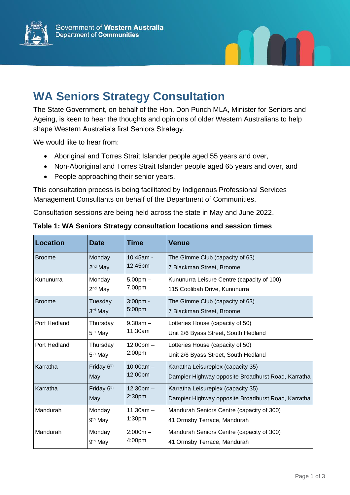



## **WA Seniors Strategy Consultation**

The State Government, on behalf of the Hon. Don Punch MLA, Minister for Seniors and Ageing, is keen to hear the thoughts and opinions of older Western Australians to help shape Western Australia's first Seniors Strategy.

We would like to hear from:

- Aboriginal and Torres Strait Islander people aged 55 years and over,
- Non-Aboriginal and Torres Strait Islander people aged 65 years and over, and
- People approaching their senior years.

This consultation process is being facilitated by Indigenous Professional Services Management Consultants on behalf of the Department of Communities.

Consultation sessions are being held across the state in May and June 2022.

| <b>Location</b> | <b>Date</b>         | <b>Time</b>         | Venue                                              |
|-----------------|---------------------|---------------------|----------------------------------------------------|
| <b>Broome</b>   | Monday              | $10:45$ am -        | The Gimme Club (capacity of 63)                    |
|                 | 2 <sup>nd</sup> May | 12:45pm             | 7 Blackman Street, Broome                          |
| Kununurra       | Monday              | $5.00pm -$          | Kununurra Leisure Centre (capacity of 100)         |
|                 | 2 <sup>nd</sup> May | 7.00pm              | 115 Coolibah Drive, Kununurra                      |
| <b>Broome</b>   | Tuesday             | $3:00pm$ -          | The Gimme Club (capacity of 63)                    |
|                 | 3rd May             | 5:00pm              | 7 Blackman Street, Broome                          |
| Port Hedland    | Thursday            | $9.30am -$          | Lotteries House (capacity of 50)                   |
|                 | 5 <sup>th</sup> May | 11:30am             | Unit 2/6 Byass Street, South Hedland               |
| Port Hedland    | Thursday            | $12:00 \text{pm} -$ | Lotteries House (capacity of 50)                   |
|                 | 5 <sup>th</sup> May | 2:00pm              | Unit 2/6 Byass Street, South Hedland               |
| Karratha        | Friday 6th          | $10:00am -$         | Karratha Leisureplex (capacity 35)                 |
|                 | May                 | 12:00pm             | Dampier Highway opposite Broadhurst Road, Karratha |
| Karratha        | Friday 6th          | $12:30$ pm $-$      | Karratha Leisureplex (capacity 35)                 |
|                 | May                 | 2:30 <sub>pm</sub>  | Dampier Highway opposite Broadhurst Road, Karratha |
| Mandurah        | Monday              | $11.30am -$         | Mandurah Seniors Centre (capacity of 300)          |
|                 | 9 <sup>th</sup> May | 1:30 <sub>pm</sub>  | 41 Ormsby Terrace, Mandurah                        |
| Mandurah        | Monday              | $2:000m -$          | Mandurah Seniors Centre (capacity of 300)          |
|                 | 9 <sup>th</sup> May | 4:00pm              | 41 Ormsby Terrace, Mandurah                        |

**Table 1: WA Seniors Strategy consultation locations and session times**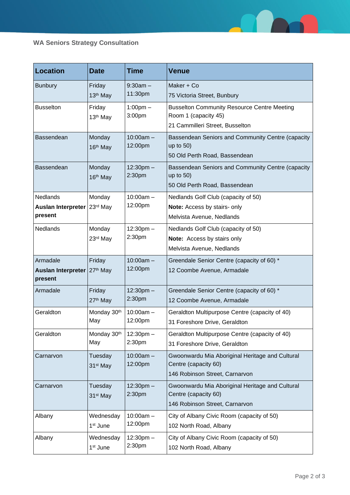

## **WA Seniors Strategy Consultation**

| <b>Location</b>                                         | <b>Date</b>                       | <b>Time</b>              | <b>Venue</b>                                                                                                  |
|---------------------------------------------------------|-----------------------------------|--------------------------|---------------------------------------------------------------------------------------------------------------|
| <b>Bunbury</b>                                          | Friday<br>13 <sup>th</sup> May    | $9:30am -$<br>11:30pm    | Maker + Co<br>75 Victoria Street, Bunbury                                                                     |
| <b>Busselton</b>                                        | Friday<br>13 <sup>th</sup> May    | $1:00$ pm $-$<br>3:00pm  | <b>Busselton Community Resource Centre Meeting</b><br>Room 1 (capacity 45)<br>21 Cammilleri Street, Busselton |
| Bassendean                                              | Monday<br>16 <sup>th</sup> May    | $10:00am -$<br>12:00pm   | Bassendean Seniors and Community Centre (capacity<br>up to $50$ )<br>50 Old Perth Road, Bassendean            |
| Bassendean                                              | Monday<br>16 <sup>th</sup> May    | $12:30$ pm $-$<br>2:30pm | Bassendean Seniors and Community Centre (capacity<br>up to $50$ )<br>50 Old Perth Road, Bassendean            |
| <b>Nedlands</b><br><b>Auslan Interpreter</b><br>present | Monday<br>23rd May                | $10:00am -$<br>12:00pm   | Nedlands Golf Club (capacity of 50)<br>Note: Access by stairs- only<br>Melvista Avenue, Nedlands              |
| Nedlands                                                | Monday<br>23rd May                | $12:30$ pm $-$<br>2:30pm | Nedlands Golf Club (capacity of 50)<br>Note: Access by stairs only<br>Melvista Avenue, Nedlands               |
| Armadale<br><b>Auslan Interpreter</b><br>present        | Friday<br>27th May                | $10:00am -$<br>12:00pm   | Greendale Senior Centre (capacity of 60) *<br>12 Coombe Avenue, Armadale                                      |
| Armadale                                                | Friday<br>27 <sup>th</sup> May    | $12:30$ pm $-$<br>2:30pm | Greendale Senior Centre (capacity of 60) *<br>12 Coombe Avenue, Armadale                                      |
| Geraldton                                               | Monday 30th<br>May                | $10:00am -$<br>12:00pm   | Geraldton Multipurpose Centre (capacity of 40)<br>31 Foreshore Drive, Geraldton                               |
| Geraldton                                               | Monday 30th<br>May                | $12:30$ pm $-$<br>2:30pm | Geraldton Multipurpose Centre (capacity of 40)<br>31 Foreshore Drive, Geraldton                               |
| Carnarvon                                               | Tuesday<br>31 <sup>st</sup> May   | $10:00am -$<br>12:00pm   | Gwoonwardu Mia Aboriginal Heritage and Cultural<br>Centre (capacity 60)<br>146 Robinson Street, Carnarvon     |
| Carnarvon                                               | Tuesday<br>31 <sup>st</sup> May   | $12:30$ pm $-$<br>2:30pm | Gwoonwardu Mia Aboriginal Heritage and Cultural<br>Centre (capacity 60)<br>146 Robinson Street, Carnarvon     |
| Albany                                                  | Wednesday<br>1 <sup>st</sup> June | $10:00am -$<br>12:00pm   | City of Albany Civic Room (capacity of 50)<br>102 North Road, Albany                                          |
| Albany                                                  | Wednesday<br>1 <sup>st</sup> June | $12:30$ pm $-$<br>2:30pm | City of Albany Civic Room (capacity of 50)<br>102 North Road, Albany                                          |